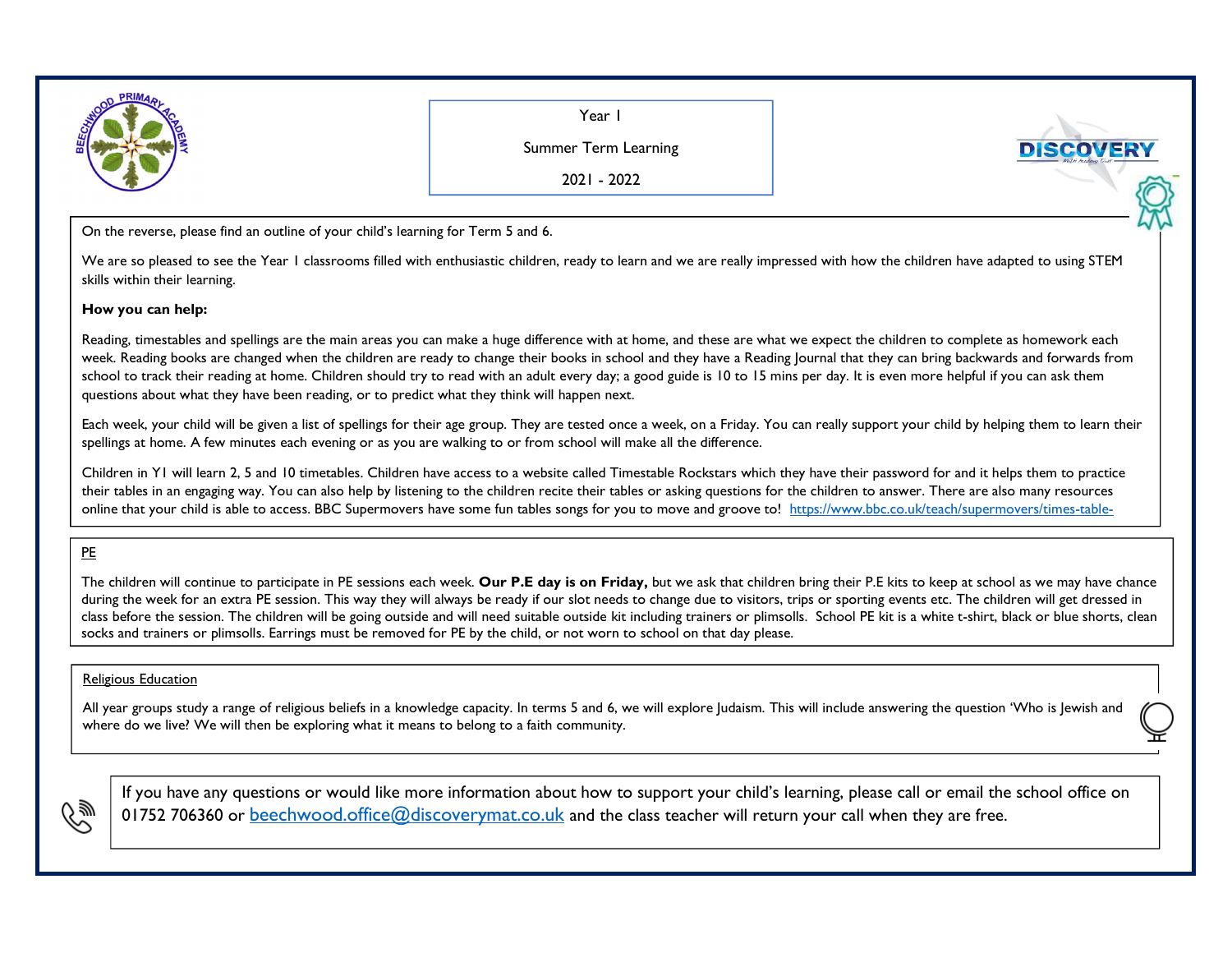

Year I

Summer Term Learning

2021 - <sup>2022</sup>

On the reverse, please find an outline of your child's learning for Term <sup>5</sup> and 6.

We are so pleased to see the Year I classrooms filled with enthusiastic children, ready to learn and we are really impressed with how the children have adapted to using STEM skills within their learning.

## **How you can help:**

Reading, timestables and spellings are the main areas you can make a huge difference with at home, and these are what we expect the children to complete as homework each week. Reading books are changed when the children are ready to change their books in school and they have a Reading Journal that they can bring backwards and forwards from school to track their reading at home. Children should try to read with an adult every day; a good guide is 10 to 15 mins per day. It is even more helpful if you can ask them questions about what they have been reading, or to predict what they think will happen next.

Each week, your child will be given a list of spellings for their age group. They are tested once a week, on a Friday. You can really support your child by helping them to learn their spellings at home. A few minutes each evening or as you are walking to or from school will make all the difference.

Children in Y1 will learn 2, 5 and 10 timetables. Children have access to a website called Timestable Rockstars which they have their password for and it helps them to practice their tables in an engaging way. You can also help by listening to the children recite their tables or asking questions for the children to answer. There are also many resources online that your child is able to access. BBC Supermovers have some fun tables songs for you to move and groove to! https://www.bbc.co.uk/teach/supermovers/times-table-

## PE

The children will continue to participate in PE sessions each week. **Our P.E day is on Friday,** but we ask that children bring their P.E kits to keep at school as we may have chance during the week for an extra PE session. This way they will always be ready if our slot needs to change due to visitors, trips or sporting events etc. The children will get dressed in class before the session. The children will be going outside and will need suitable outside kit including trainers or plimsolls. School PE kit is a white t-shirt, black or blue shorts, clean socks and trainers or plimsolls. Earrings must be removed for PE by the child, or not worn to school on that day please.

## Religious Education

All year groups study a range of religious beliefs in a knowledge capacity. In terms 5 and 6, we will explore Judaism. This will include answering the question 'Who is Jewish and where do we live? We will then be exploring what it means to belong to a faith community.



If you have any questions or would like more information about how to support your child's learning, please call or email the school office on 01752 706360 or <u>beechwood.office@discoverymat.co.uk</u> and the class teacher will return your call when they are free.